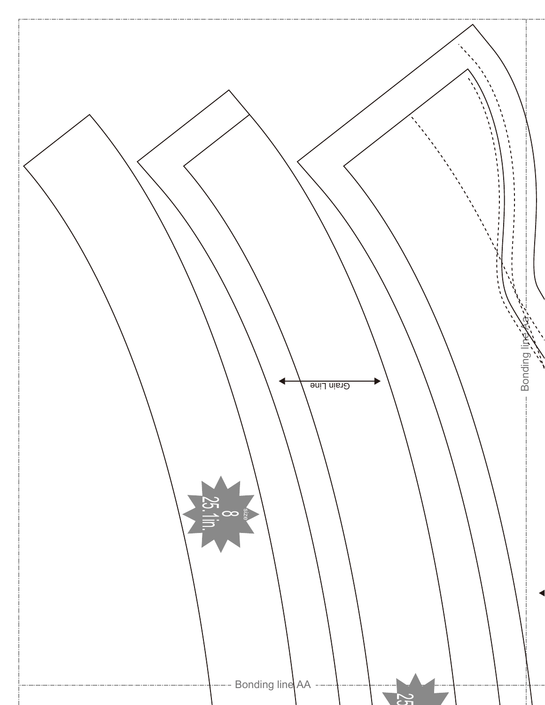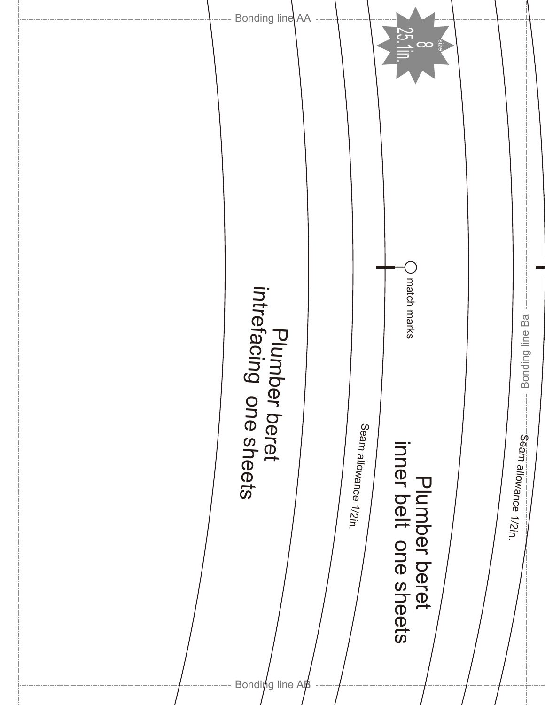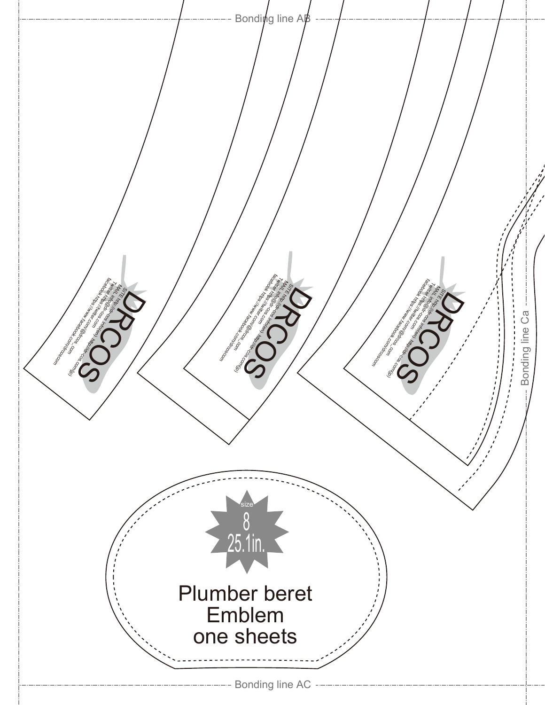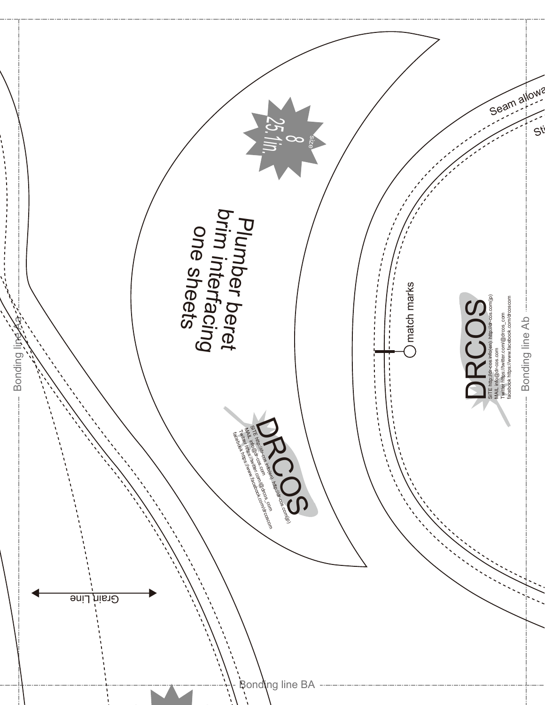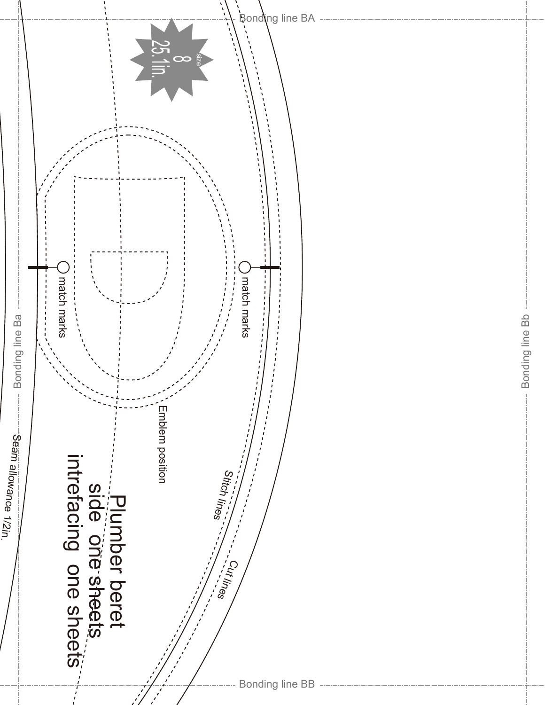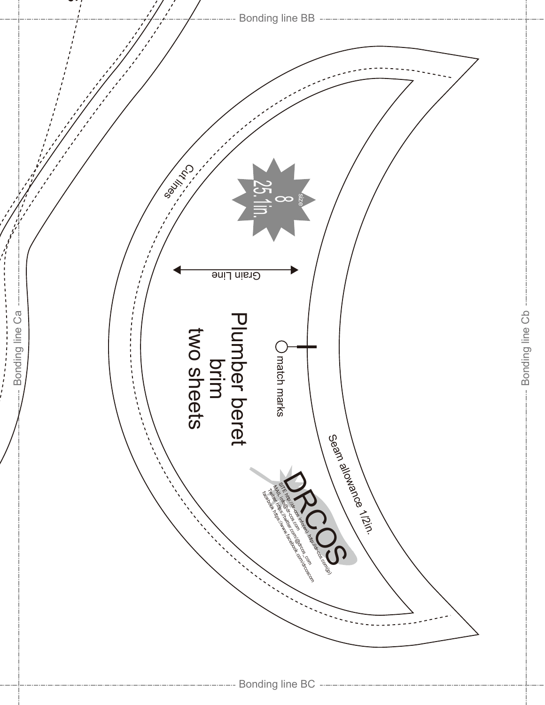